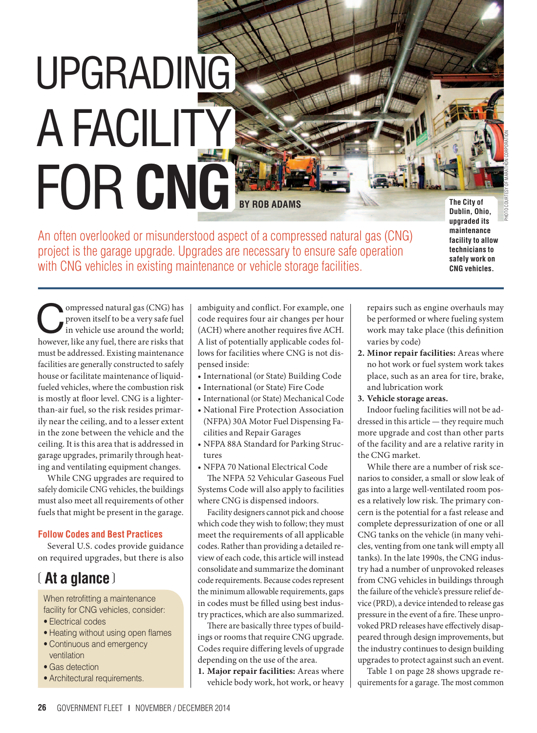# UPGRADING **A FACILITY** for **CNG**

**BY ROB ADAMS The City of The City of** 

An often overlooked or misunderstood aspect of a compressed natural gas (CNG) project is the garage upgrade. Upgrades are necessary to ensure safe operation with CNG vehicles in existing maintenance or vehicle storage facilities.

**Dublin, Ohio, upgraded its maintenance facility to allow technicians to safely work on CNG vehicles.**

ompressed natural gas (CNG) has<br>proven itself to be a very safe fuel<br>in vehicle use around the world; proven itself to be a very safe fuel in vehicle use around the world; however, like any fuel, there are risks that must be addressed. Existing maintenance facilities are generally constructed to safely house or facilitate maintenance of liquidfueled vehicles, where the combustion risk is mostly at floor level. CNG is a lighterthan-air fuel, so the risk resides primarily near the ceiling, and to a lesser extent in the zone between the vehicle and the ceiling. It is this area that is addressed in garage upgrades, primarily through heating and ventilating equipment changes.

While CNG upgrades are required to safely domicile CNG vehicles, the buildings must also meet all requirements of other fuels that might be present in the garage.

#### **Follow Codes and Best Practices**

Several U.S. codes provide guidance on required upgrades, but there is also

## ❲ **At a glance** ❳

When retrofitting a maintenance facility for CNG vehicles, consider:

- Electrical codes
- Heating without using open flames
- Continuous and emergency ventilation
- Gas detection
- Architectural requirements.

ambiguity and conflict. For example, one code requires four air changes per hour (ACH) where another requires five ACH. A list of potentially applicable codes follows for facilities where CNG is not dispensed inside:

- • International (or State) Building Code
- • International (or State) Fire Code
- • International (or State) Mechanical Code
- • National Fire Protection Association (NFPA) 30A Motor Fuel Dispensing Facilities and Repair Garages
- • NFPA 88A Standard for Parking Structures
- • NFPA 70 National Electrical Code

The NFPA 52 Vehicular Gaseous Fuel Systems Code will also apply to facilities where CNG is dispensed indoors.

Facility designers cannot pick and choose which code they wish to follow; they must meet the requirements of all applicable codes. Rather than providing a detailed review of each code, this article will instead consolidate and summarize the dominant code requirements. Because codes represent the minimum allowable requirements, gaps in codes must be filled using best industry practices, which are also summarized.

There are basically three types of buildings or rooms that require CNG upgrade. Codes require differing levels of upgrade depending on the use of the area.

**1. Major repair facilities:** Areas where vehicle body work, hot work, or heavy repairs such as engine overhauls may be performed or where fueling system work may take place (this definition varies by code)

- **2. Minor repair facilities:** Areas where no hot work or fuel system work takes place, such as an area for tire, brake, and lubrication work
- **3. Vehicle storage areas.**

Indoor fueling facilities will not be addressed in this article — they require much more upgrade and cost than other parts of the facility and are a relative rarity in the CNG market.

While there are a number of risk scenarios to consider, a small or slow leak of gas into a large well-ventilated room poses a relatively low risk. The primary concern is the potential for a fast release and complete depressurization of one or all CNG tanks on the vehicle (in many vehicles, venting from one tank will empty all tanks). In the late 1990s, the CNG industry had a number of unprovoked releases from CNG vehicles in buildings through the failure of the vehicle's pressure relief device (PRD), a device intended to release gas pressure in the event of a fire. These unprovoked PRD releases have effectively disappeared through design improvements, but the industry continues to design building upgrades to protect against such an event.

Table 1 on page 28 shows upgrade requirements for a garage. The most common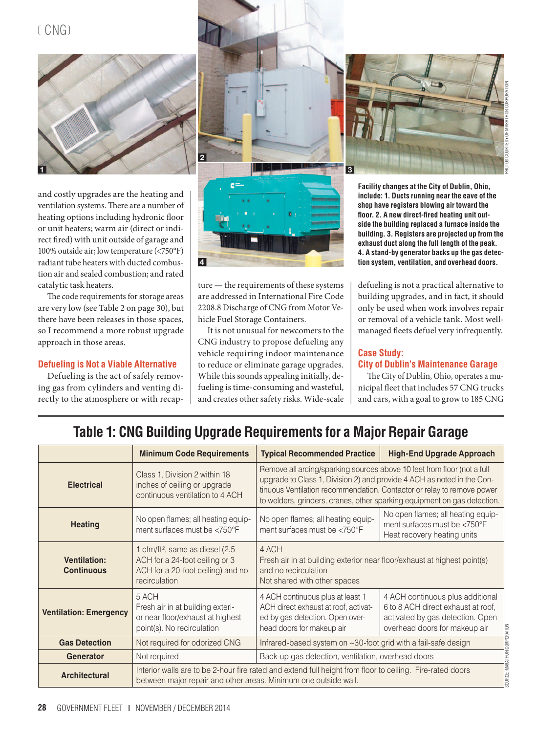$(CNG)$ 



and costly upgrades are the heating and ventilation systems. There are a number of heating options including hydronic floor or unit heaters; warm air (direct or indirect fired) with unit outside of garage and 100% outside air; low temperature (<750°F) radiant tube heaters with ducted combustion air and sealed combustion; and rated catalytic task heaters.

The code requirements for storage areas are very low (see Table 2 on page 30), but there have been releases in those spaces, so I recommend a more robust upgrade approach in those areas.

#### **Defueling is Not a Viable Alternative**

Defueling is the act of safely removing gas from cylinders and venting directly to the atmosphere or with recap-





ture — the requirements of these systems are addressed in International Fire Code 2208.8 Discharge of CNG from Motor Vehicle Fuel Storage Containers.

It is not unusual for newcomers to the CNG industry to propose defueling any vehicle requiring indoor maintenance to reduce or eliminate garage upgrades. While this sounds appealing initially, defueling is time-consuming and wasteful, and creates other safety risks. Wide-scale



**Facility changes at the City of Dublin, Ohio, include: 1. Ducts running near the eave of the shop have registers blowing air toward the floor. 2. A new direct-fired heating unit outside the building replaced a furnace inside the building. 3. Registers are projected up from the exhaust duct along the full length of the peak. 4. A stand-by generator backs up the gas detection system, ventilation, and overhead doors.**

defueling is not a practical alternative to building upgrades, and in fact, it should only be used when work involves repair or removal of a vehicle tank. Most wellmanaged fleets defuel very infrequently.

#### **Case Study: City of Dublin's Maintenance Garage**

The City of Dublin, Ohio, operates a municipal fleet that includes 57 CNG trucks and cars, with a goal to grow to 185 CNG

## **Table 1: CNG Building Upgrade Requirements for a Major Repair Garage**

|                                          | <b>Minimum Code Requirements</b>                                                                                                                                             | <b>Typical Recommended Practice</b>                                                                                                                                                                                                                                                                     | <b>High-End Upgrade Approach</b>                                                                                                            |
|------------------------------------------|------------------------------------------------------------------------------------------------------------------------------------------------------------------------------|---------------------------------------------------------------------------------------------------------------------------------------------------------------------------------------------------------------------------------------------------------------------------------------------------------|---------------------------------------------------------------------------------------------------------------------------------------------|
| <b>Electrical</b>                        | Class 1, Division 2 within 18<br>inches of ceiling or upgrade<br>continuous ventilation to 4 ACH                                                                             | Remove all arcing/sparking sources above 10 feet from floor (not a full<br>upgrade to Class 1, Division 2) and provide 4 ACH as noted in the Con-<br>tinuous Ventilation recommendation. Contactor or relay to remove power<br>to welders, grinders, cranes, other sparking equipment on gas detection. |                                                                                                                                             |
| <b>Heating</b>                           | No open flames; all heating equip-<br>ment surfaces must be $\langle 750^\circ \text{F} \rangle$                                                                             | No open flames; all heating equip-<br>ment surfaces must be $<750^{\circ}$ F                                                                                                                                                                                                                            | No open flames; all heating equip-<br>ment surfaces must be <750°F<br>Heat recovery heating units                                           |
| <b>Ventilation:</b><br><b>Continuous</b> | 1 cfm/ft <sup>2</sup> , same as diesel (2.5)<br>ACH for a 24-foot ceiling or 3<br>ACH for a 20-foot ceiling) and no<br>recirculation                                         | 4 ACH<br>Fresh air in at building exterior near floor/exhaust at highest point(s)<br>and no recirculation<br>Not shared with other spaces                                                                                                                                                               |                                                                                                                                             |
| <b>Ventilation: Emergency</b>            | 5 ACH<br>Fresh air in at building exteri-<br>or near floor/exhaust at highest<br>point(s). No recirculation                                                                  | 4 ACH continuous plus at least 1<br>ACH direct exhaust at roof, activat-<br>ed by gas detection. Open over-<br>head doors for makeup air                                                                                                                                                                | 4 ACH continuous plus additional<br>6 to 8 ACH direct exhaust at roof.<br>activated by gas detection. Open<br>overhead doors for makeup air |
| <b>Gas Detection</b>                     | Not required for odorized CNG                                                                                                                                                | Infrared-based system on $\sim$ 30-foot grid with a fail-safe design                                                                                                                                                                                                                                    |                                                                                                                                             |
| <b>Generator</b>                         | Not required                                                                                                                                                                 | Back-up gas detection, ventilation, overhead doors                                                                                                                                                                                                                                                      |                                                                                                                                             |
| <b>Architectural</b>                     | Interior walls are to be 2-hour fire rated and extend full height from floor to ceiling. Fire-rated doors<br>between major repair and other areas. Minimum one outside wall. |                                                                                                                                                                                                                                                                                                         |                                                                                                                                             |